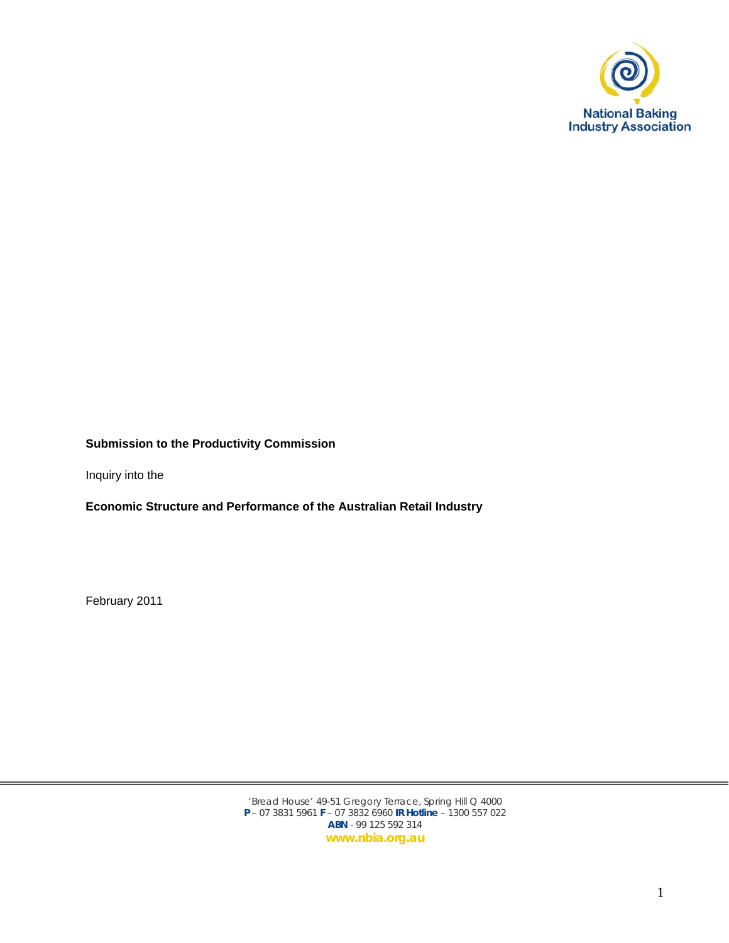

## **Submission to the Productivity Commission**

Inquiry into the

**Economic Structure and Performance of the Australian Retail Industry** 

February 2011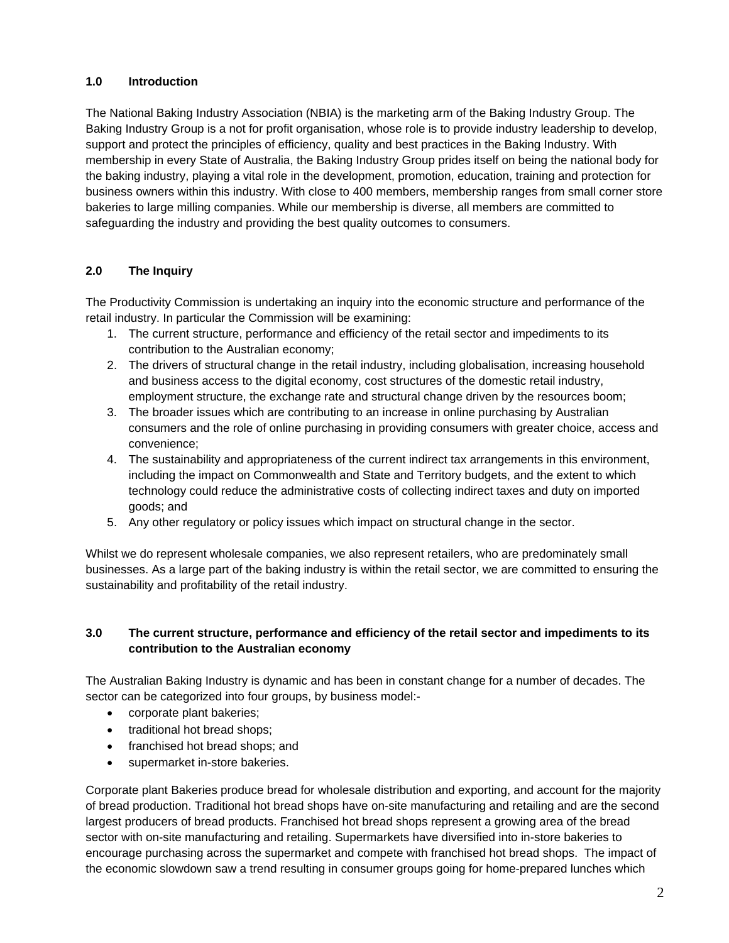# **1.0 Introduction**

The National Baking Industry Association (NBIA) is the marketing arm of the Baking Industry Group. The Baking Industry Group is a not for profit organisation, whose role is to provide industry leadership to develop, support and protect the principles of efficiency, quality and best practices in the Baking Industry. With membership in every State of Australia, the Baking Industry Group prides itself on being the national body for the baking industry, playing a vital role in the development, promotion, education, training and protection for business owners within this industry. With close to 400 members, membership ranges from small corner store bakeries to large milling companies. While our membership is diverse, all members are committed to safeguarding the industry and providing the best quality outcomes to consumers.

# **2.0 The Inquiry**

The Productivity Commission is undertaking an inquiry into the economic structure and performance of the retail industry. In particular the Commission will be examining:

- 1. The current structure, performance and efficiency of the retail sector and impediments to its contribution to the Australian economy;
- 2. The drivers of structural change in the retail industry, including globalisation, increasing household and business access to the digital economy, cost structures of the domestic retail industry, employment structure, the exchange rate and structural change driven by the resources boom;
- 3. The broader issues which are contributing to an increase in online purchasing by Australian consumers and the role of online purchasing in providing consumers with greater choice, access and convenience;
- 4. The sustainability and appropriateness of the current indirect tax arrangements in this environment, including the impact on Commonwealth and State and Territory budgets, and the extent to which technology could reduce the administrative costs of collecting indirect taxes and duty on imported goods; and
- 5. Any other regulatory or policy issues which impact on structural change in the sector.

Whilst we do represent wholesale companies, we also represent retailers, who are predominately small businesses. As a large part of the baking industry is within the retail sector, we are committed to ensuring the sustainability and profitability of the retail industry.

# **3.0 The current structure, performance and efficiency of the retail sector and impediments to its contribution to the Australian economy**

The Australian Baking Industry is dynamic and has been in constant change for a number of decades. The sector can be categorized into four groups, by business model:-

- corporate plant bakeries;
- traditional hot bread shops;
- franchised hot bread shops; and
- supermarket in-store bakeries.

Corporate plant Bakeries produce bread for wholesale distribution and exporting, and account for the majority of bread production. Traditional hot bread shops have on-site manufacturing and retailing and are the second largest producers of bread products. Franchised hot bread shops represent a growing area of the bread sector with on-site manufacturing and retailing. Supermarkets have diversified into in-store bakeries to encourage purchasing across the supermarket and compete with franchised hot bread shops. The impact of the economic slowdown saw a trend resulting in consumer groups going for home-prepared lunches which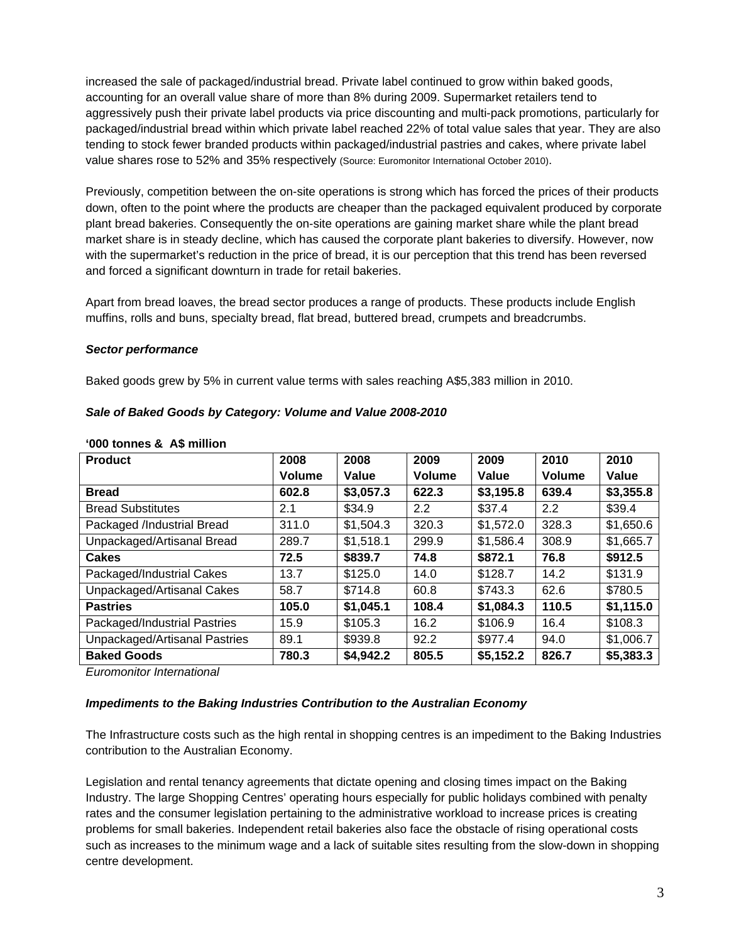increased the sale of packaged/industrial bread. Private label continued to grow within baked goods, accounting for an overall value share of more than 8% during 2009. Supermarket retailers tend to aggressively push their private label products via price discounting and multi-pack promotions, particularly for packaged/industrial bread within which private label reached 22% of total value sales that year. They are also tending to stock fewer branded products within packaged/industrial pastries and cakes, where private label value shares rose to 52% and 35% respectively (Source: Euromonitor International October 2010).

Previously, competition between the on-site operations is strong which has forced the prices of their products down, often to the point where the products are cheaper than the packaged equivalent produced by corporate plant bread bakeries. Consequently the on-site operations are gaining market share while the plant bread market share is in steady decline, which has caused the corporate plant bakeries to diversify. However, now with the supermarket's reduction in the price of bread, it is our perception that this trend has been reversed and forced a significant downturn in trade for retail bakeries.

Apart from bread loaves, the bread sector produces a range of products. These products include English muffins, rolls and buns, specialty bread, flat bread, buttered bread, crumpets and breadcrumbs.

## *Sector performance*

**'000 tonnes & A\$ million** 

Baked goods grew by 5% in current value terms with sales reaching A\$5,383 million in 2010.

| <b>Product</b>                | 2008   | 2008      | 2009          | 2009      | 2010   | 2010      |
|-------------------------------|--------|-----------|---------------|-----------|--------|-----------|
|                               | Volume | Value     | <b>Volume</b> | Value     | Volume | Value     |
| <b>Bread</b>                  | 602.8  | \$3,057.3 | 622.3         | \$3,195.8 | 639.4  | \$3,355.8 |
| <b>Bread Substitutes</b>      | 2.1    | \$34.9    | 2.2           | \$37.4    | 2.2    | \$39.4    |
| Packaged /Industrial Bread    | 311.0  | \$1,504.3 | 320.3         | \$1,572.0 | 328.3  | \$1,650.6 |
| Unpackaged/Artisanal Bread    | 289.7  | \$1,518.1 | 299.9         | \$1,586.4 | 308.9  | \$1,665.7 |
| <b>Cakes</b>                  | 72.5   | \$839.7   | 74.8          | \$872.1   | 76.8   | \$912.5   |
| Packaged/Industrial Cakes     | 13.7   | \$125.0   | 14.0          | \$128.7   | 14.2   | \$131.9   |
| Unpackaged/Artisanal Cakes    | 58.7   | \$714.8   | 60.8          | \$743.3   | 62.6   | \$780.5   |
| <b>Pastries</b>               | 105.0  | \$1,045.1 | 108.4         | \$1,084.3 | 110.5  | \$1,115.0 |
| Packaged/Industrial Pastries  | 15.9   | \$105.3   | 16.2          | \$106.9   | 16.4   | \$108.3   |
| Unpackaged/Artisanal Pastries | 89.1   | \$939.8   | 92.2          | \$977.4   | 94.0   | \$1,006.7 |
| <b>Baked Goods</b>            | 780.3  | \$4,942.2 | 805.5         | \$5,152.2 | 826.7  | \$5,383.3 |

#### *Sale of Baked Goods by Category: Volume and Value 2008-2010*

*Euromonitor International* 

#### *Impediments to the Baking Industries Contribution to the Australian Economy*

The Infrastructure costs such as the high rental in shopping centres is an impediment to the Baking Industries contribution to the Australian Economy.

Legislation and rental tenancy agreements that dictate opening and closing times impact on the Baking Industry. The large Shopping Centres' operating hours especially for public holidays combined with penalty rates and the consumer legislation pertaining to the administrative workload to increase prices is creating problems for small bakeries. Independent retail bakeries also face the obstacle of rising operational costs such as increases to the minimum wage and a lack of suitable sites resulting from the slow-down in shopping centre development.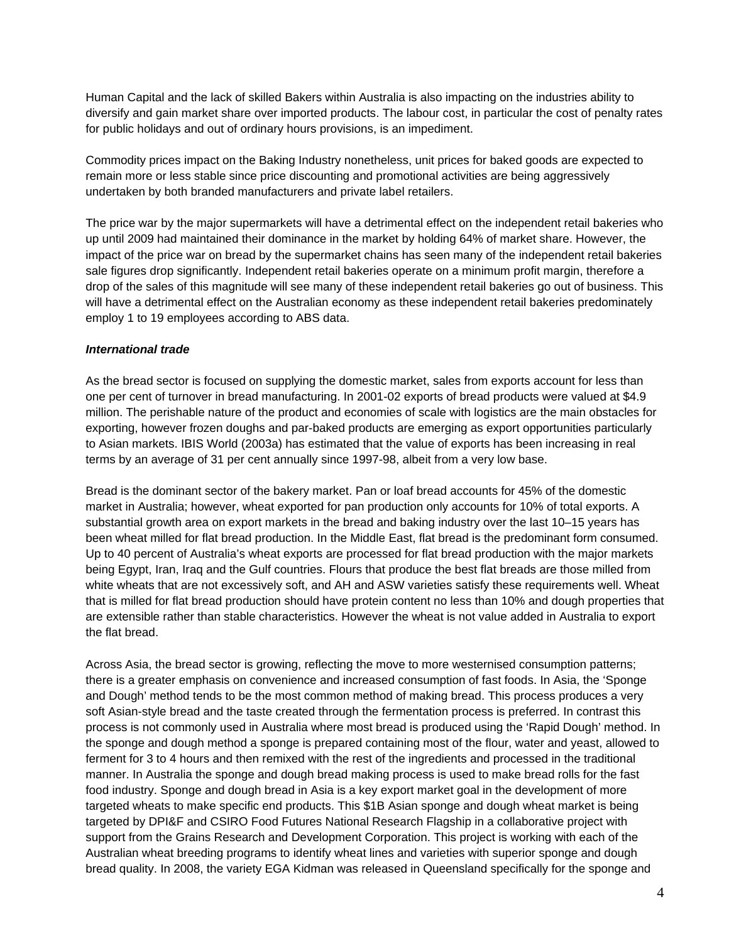Human Capital and the lack of skilled Bakers within Australia is also impacting on the industries ability to diversify and gain market share over imported products. The labour cost, in particular the cost of penalty rates for public holidays and out of ordinary hours provisions, is an impediment.

Commodity prices impact on the Baking Industry nonetheless, unit prices for baked goods are expected to remain more or less stable since price discounting and promotional activities are being aggressively undertaken by both branded manufacturers and private label retailers.

The price war by the major supermarkets will have a detrimental effect on the independent retail bakeries who up until 2009 had maintained their dominance in the market by holding 64% of market share. However, the impact of the price war on bread by the supermarket chains has seen many of the independent retail bakeries sale figures drop significantly. Independent retail bakeries operate on a minimum profit margin, therefore a drop of the sales of this magnitude will see many of these independent retail bakeries go out of business. This will have a detrimental effect on the Australian economy as these independent retail bakeries predominately employ 1 to 19 employees according to ABS data.

#### *International trade*

As the bread sector is focused on supplying the domestic market, sales from exports account for less than one per cent of turnover in bread manufacturing. In 2001-02 exports of bread products were valued at \$4.9 million. The perishable nature of the product and economies of scale with logistics are the main obstacles for exporting, however frozen doughs and par-baked products are emerging as export opportunities particularly to Asian markets. IBIS World (2003a) has estimated that the value of exports has been increasing in real terms by an average of 31 per cent annually since 1997-98, albeit from a very low base.

Bread is the dominant sector of the bakery market. Pan or loaf bread accounts for 45% of the domestic market in Australia; however, wheat exported for pan production only accounts for 10% of total exports. A substantial growth area on export markets in the bread and baking industry over the last 10–15 years has been wheat milled for flat bread production. In the Middle East, flat bread is the predominant form consumed. Up to 40 percent of Australia's wheat exports are processed for flat bread production with the major markets being Egypt, Iran, Iraq and the Gulf countries. Flours that produce the best flat breads are those milled from white wheats that are not excessively soft, and AH and ASW varieties satisfy these requirements well. Wheat that is milled for flat bread production should have protein content no less than 10% and dough properties that are extensible rather than stable characteristics. However the wheat is not value added in Australia to export the flat bread.

Across Asia, the bread sector is growing, reflecting the move to more westernised consumption patterns; there is a greater emphasis on convenience and increased consumption of fast foods. In Asia, the 'Sponge and Dough' method tends to be the most common method of making bread. This process produces a very soft Asian-style bread and the taste created through the fermentation process is preferred. In contrast this process is not commonly used in Australia where most bread is produced using the 'Rapid Dough' method. In the sponge and dough method a sponge is prepared containing most of the flour, water and yeast, allowed to ferment for 3 to 4 hours and then remixed with the rest of the ingredients and processed in the traditional manner. In Australia the sponge and dough bread making process is used to make bread rolls for the fast food industry. Sponge and dough bread in Asia is a key export market goal in the development of more targeted wheats to make specific end products. This \$1B Asian sponge and dough wheat market is being targeted by DPI&F and CSIRO Food Futures National Research Flagship in a collaborative project with support from the Grains Research and Development Corporation. This project is working with each of the Australian wheat breeding programs to identify wheat lines and varieties with superior sponge and dough bread quality. In 2008, the variety EGA Kidman was released in Queensland specifically for the sponge and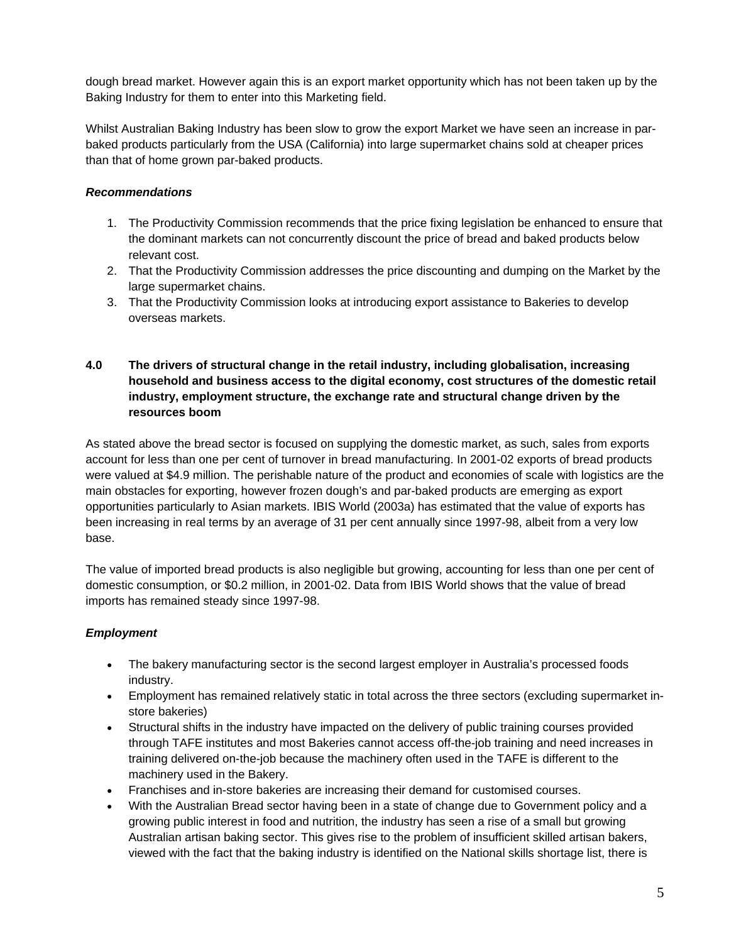dough bread market. However again this is an export market opportunity which has not been taken up by the Baking Industry for them to enter into this Marketing field.

Whilst Australian Baking Industry has been slow to grow the export Market we have seen an increase in parbaked products particularly from the USA (California) into large supermarket chains sold at cheaper prices than that of home grown par-baked products.

## *Recommendations*

- 1. The Productivity Commission recommends that the price fixing legislation be enhanced to ensure that the dominant markets can not concurrently discount the price of bread and baked products below relevant cost.
- 2. That the Productivity Commission addresses the price discounting and dumping on the Market by the large supermarket chains.
- 3. That the Productivity Commission looks at introducing export assistance to Bakeries to develop overseas markets.
- **4.0 The drivers of structural change in the retail industry, including globalisation, increasing household and business access to the digital economy, cost structures of the domestic retail industry, employment structure, the exchange rate and structural change driven by the resources boom**

As stated above the bread sector is focused on supplying the domestic market, as such, sales from exports account for less than one per cent of turnover in bread manufacturing. In 2001-02 exports of bread products were valued at \$4.9 million. The perishable nature of the product and economies of scale with logistics are the main obstacles for exporting, however frozen dough's and par-baked products are emerging as export opportunities particularly to Asian markets. IBIS World (2003a) has estimated that the value of exports has been increasing in real terms by an average of 31 per cent annually since 1997-98, albeit from a very low base.

The value of imported bread products is also negligible but growing, accounting for less than one per cent of domestic consumption, or \$0.2 million, in 2001-02. Data from IBIS World shows that the value of bread imports has remained steady since 1997-98.

# *Employment*

- The bakery manufacturing sector is the second largest employer in Australia's processed foods industry.
- Employment has remained relatively static in total across the three sectors (excluding supermarket instore bakeries)
- Structural shifts in the industry have impacted on the delivery of public training courses provided through TAFE institutes and most Bakeries cannot access off-the-job training and need increases in training delivered on-the-job because the machinery often used in the TAFE is different to the machinery used in the Bakery.
- Franchises and in-store bakeries are increasing their demand for customised courses.
- With the Australian Bread sector having been in a state of change due to Government policy and a growing public interest in food and nutrition, the industry has seen a rise of a small but growing Australian artisan baking sector. This gives rise to the problem of insufficient skilled artisan bakers, viewed with the fact that the baking industry is identified on the National skills shortage list, there is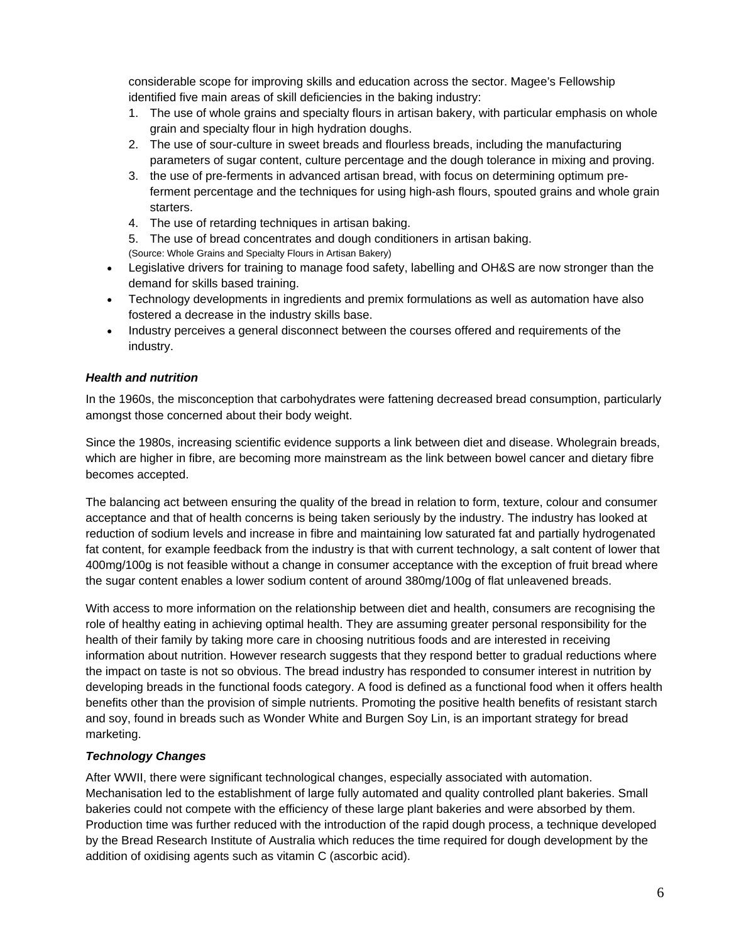considerable scope for improving skills and education across the sector. Magee's Fellowship identified five main areas of skill deficiencies in the baking industry:

- 1. The use of whole grains and specialty flours in artisan bakery, with particular emphasis on whole grain and specialty flour in high hydration doughs.
- 2. The use of sour-culture in sweet breads and flourless breads, including the manufacturing parameters of sugar content, culture percentage and the dough tolerance in mixing and proving.
- 3. the use of pre-ferments in advanced artisan bread, with focus on determining optimum preferment percentage and the techniques for using high-ash flours, spouted grains and whole grain starters.
- 4. The use of retarding techniques in artisan baking.
- 5. The use of bread concentrates and dough conditioners in artisan baking.
- (Source: Whole Grains and Specialty Flours in Artisan Bakery)
- Legislative drivers for training to manage food safety, labelling and OH&S are now stronger than the demand for skills based training.
- Technology developments in ingredients and premix formulations as well as automation have also fostered a decrease in the industry skills base.
- Industry perceives a general disconnect between the courses offered and requirements of the industry.

## *Health and nutrition*

In the 1960s, the misconception that carbohydrates were fattening decreased bread consumption, particularly amongst those concerned about their body weight.

Since the 1980s, increasing scientific evidence supports a link between diet and disease. Wholegrain breads, which are higher in fibre, are becoming more mainstream as the link between bowel cancer and dietary fibre becomes accepted.

The balancing act between ensuring the quality of the bread in relation to form, texture, colour and consumer acceptance and that of health concerns is being taken seriously by the industry. The industry has looked at reduction of sodium levels and increase in fibre and maintaining low saturated fat and partially hydrogenated fat content, for example feedback from the industry is that with current technology, a salt content of lower that 400mg/100g is not feasible without a change in consumer acceptance with the exception of fruit bread where the sugar content enables a lower sodium content of around 380mg/100g of flat unleavened breads.

With access to more information on the relationship between diet and health, consumers are recognising the role of healthy eating in achieving optimal health. They are assuming greater personal responsibility for the health of their family by taking more care in choosing nutritious foods and are interested in receiving information about nutrition. However research suggests that they respond better to gradual reductions where the impact on taste is not so obvious. The bread industry has responded to consumer interest in nutrition by developing breads in the functional foods category. A food is defined as a functional food when it offers health benefits other than the provision of simple nutrients. Promoting the positive health benefits of resistant starch and soy, found in breads such as Wonder White and Burgen Soy Lin, is an important strategy for bread marketing.

## *Technology Changes*

After WWII, there were significant technological changes, especially associated with automation. Mechanisation led to the establishment of large fully automated and quality controlled plant bakeries. Small bakeries could not compete with the efficiency of these large plant bakeries and were absorbed by them. Production time was further reduced with the introduction of the rapid dough process, a technique developed by the Bread Research Institute of Australia which reduces the time required for dough development by the addition of oxidising agents such as vitamin C (ascorbic acid).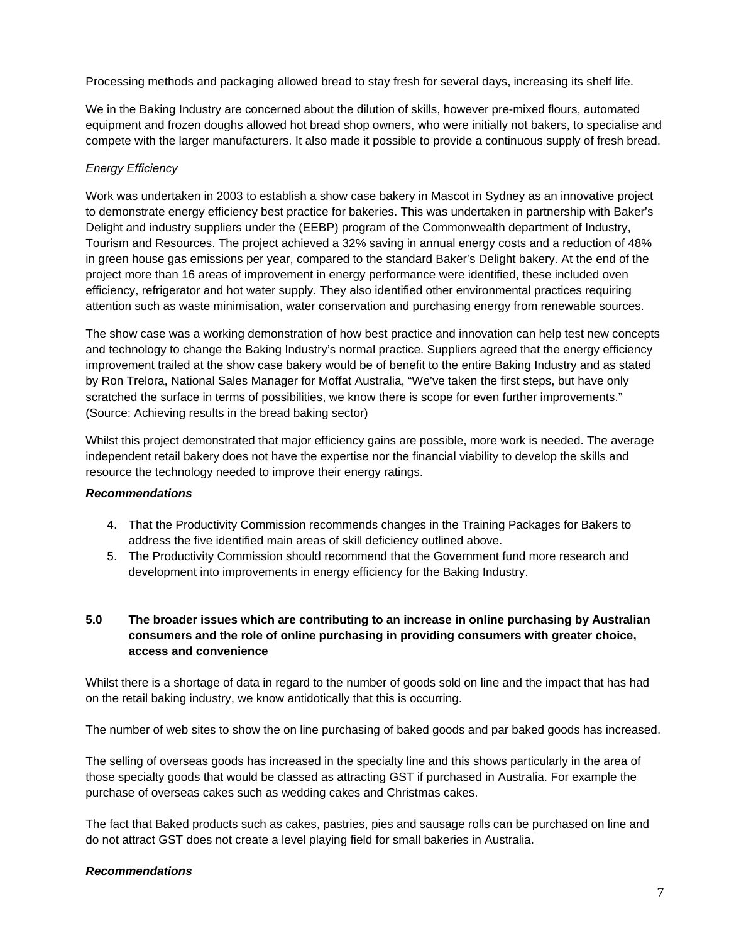Processing methods and packaging allowed bread to stay fresh for several days, increasing its shelf life.

We in the Baking Industry are concerned about the dilution of skills, however pre-mixed flours, automated equipment and frozen doughs allowed hot bread shop owners, who were initially not bakers, to specialise and compete with the larger manufacturers. It also made it possible to provide a continuous supply of fresh bread.

## *Energy Efficiency*

Work was undertaken in 2003 to establish a show case bakery in Mascot in Sydney as an innovative project to demonstrate energy efficiency best practice for bakeries. This was undertaken in partnership with Baker's Delight and industry suppliers under the (EEBP) program of the Commonwealth department of Industry, Tourism and Resources. The project achieved a 32% saving in annual energy costs and a reduction of 48% in green house gas emissions per year, compared to the standard Baker's Delight bakery. At the end of the project more than 16 areas of improvement in energy performance were identified, these included oven efficiency, refrigerator and hot water supply. They also identified other environmental practices requiring attention such as waste minimisation, water conservation and purchasing energy from renewable sources.

The show case was a working demonstration of how best practice and innovation can help test new concepts and technology to change the Baking Industry's normal practice. Suppliers agreed that the energy efficiency improvement trailed at the show case bakery would be of benefit to the entire Baking Industry and as stated by Ron Trelora, National Sales Manager for Moffat Australia, "We've taken the first steps, but have only scratched the surface in terms of possibilities, we know there is scope for even further improvements." (Source: Achieving results in the bread baking sector)

Whilst this project demonstrated that major efficiency gains are possible, more work is needed. The average independent retail bakery does not have the expertise nor the financial viability to develop the skills and resource the technology needed to improve their energy ratings.

## *Recommendations*

- 4. That the Productivity Commission recommends changes in the Training Packages for Bakers to address the five identified main areas of skill deficiency outlined above.
- 5. The Productivity Commission should recommend that the Government fund more research and development into improvements in energy efficiency for the Baking Industry.

# **5.0 The broader issues which are contributing to an increase in online purchasing by Australian consumers and the role of online purchasing in providing consumers with greater choice, access and convenience**

Whilst there is a shortage of data in regard to the number of goods sold on line and the impact that has had on the retail baking industry, we know antidotically that this is occurring.

The number of web sites to show the on line purchasing of baked goods and par baked goods has increased.

The selling of overseas goods has increased in the specialty line and this shows particularly in the area of those specialty goods that would be classed as attracting GST if purchased in Australia. For example the purchase of overseas cakes such as wedding cakes and Christmas cakes.

The fact that Baked products such as cakes, pastries, pies and sausage rolls can be purchased on line and do not attract GST does not create a level playing field for small bakeries in Australia.

## *Recommendations*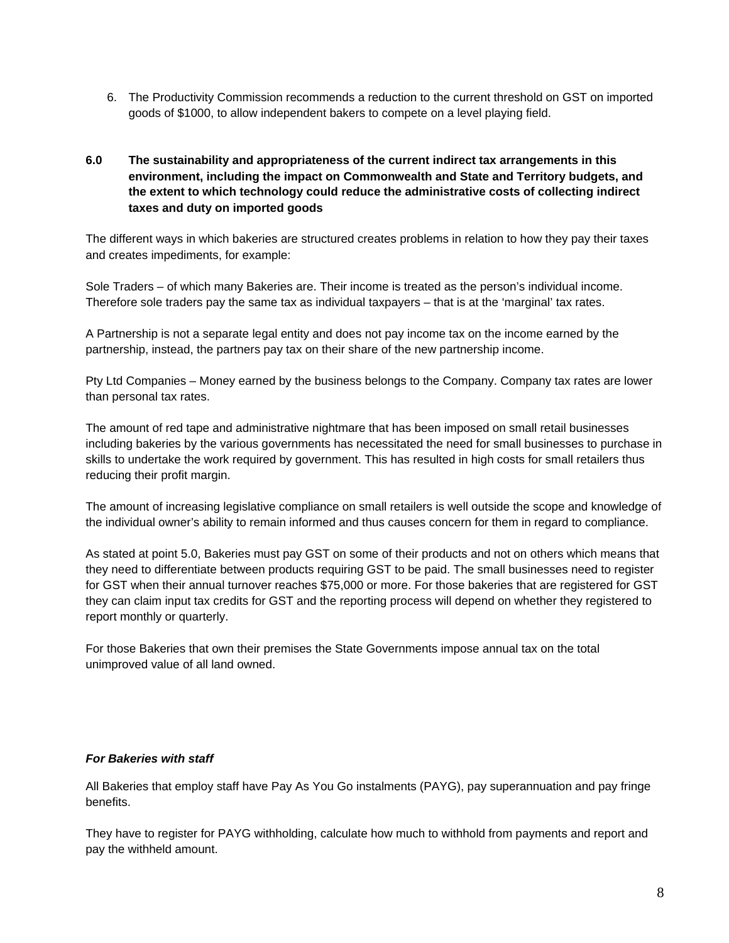6. The Productivity Commission recommends a reduction to the current threshold on GST on imported goods of \$1000, to allow independent bakers to compete on a level playing field.

## **6.0 The sustainability and appropriateness of the current indirect tax arrangements in this environment, including the impact on Commonwealth and State and Territory budgets, and the extent to which technology could reduce the administrative costs of collecting indirect taxes and duty on imported goods**

The different ways in which bakeries are structured creates problems in relation to how they pay their taxes and creates impediments, for example:

Sole Traders – of which many Bakeries are. Their income is treated as the person's individual income. Therefore sole traders pay the same tax as individual taxpayers – that is at the 'marginal' tax rates.

A Partnership is not a separate legal entity and does not pay income tax on the income earned by the partnership, instead, the partners pay tax on their share of the new partnership income.

Pty Ltd Companies – Money earned by the business belongs to the Company. Company tax rates are lower than personal tax rates.

The amount of red tape and administrative nightmare that has been imposed on small retail businesses including bakeries by the various governments has necessitated the need for small businesses to purchase in skills to undertake the work required by government. This has resulted in high costs for small retailers thus reducing their profit margin.

The amount of increasing legislative compliance on small retailers is well outside the scope and knowledge of the individual owner's ability to remain informed and thus causes concern for them in regard to compliance.

As stated at point 5.0, Bakeries must pay GST on some of their products and not on others which means that they need to differentiate between products requiring GST to be paid. The small businesses need to register for GST when their annual turnover reaches \$75,000 or more. For those bakeries that are registered for GST they can claim input tax credits for GST and the reporting process will depend on whether they registered to report monthly or quarterly.

For those Bakeries that own their premises the State Governments impose annual tax on the total unimproved value of all land owned.

#### *For Bakeries with staff*

All Bakeries that employ staff have Pay As You Go instalments (PAYG), pay superannuation and pay fringe benefits.

They have to register for PAYG withholding, calculate how much to withhold from payments and report and pay the withheld amount.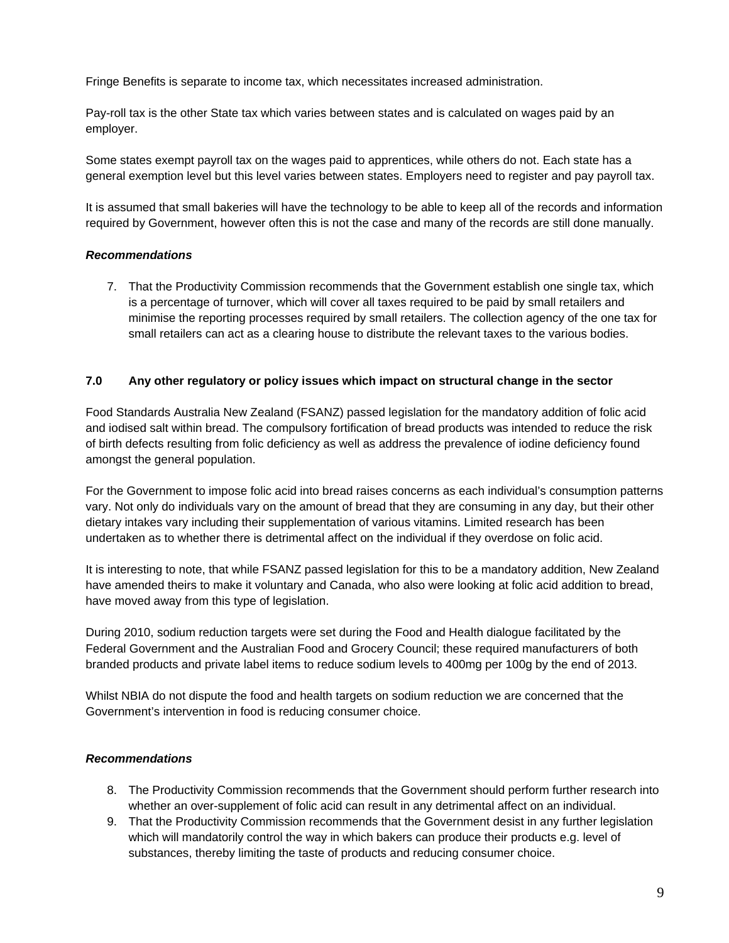Fringe Benefits is separate to income tax, which necessitates increased administration.

Pay-roll tax is the other State tax which varies between states and is calculated on wages paid by an employer.

Some states exempt payroll tax on the wages paid to apprentices, while others do not. Each state has a general exemption level but this level varies between states. Employers need to register and pay payroll tax.

It is assumed that small bakeries will have the technology to be able to keep all of the records and information required by Government, however often this is not the case and many of the records are still done manually.

#### *Recommendations*

7. That the Productivity Commission recommends that the Government establish one single tax, which is a percentage of turnover, which will cover all taxes required to be paid by small retailers and minimise the reporting processes required by small retailers. The collection agency of the one tax for small retailers can act as a clearing house to distribute the relevant taxes to the various bodies.

#### **7.0 Any other regulatory or policy issues which impact on structural change in the sector**

Food Standards Australia New Zealand (FSANZ) passed legislation for the mandatory addition of folic acid and iodised salt within bread. The compulsory fortification of bread products was intended to reduce the risk of birth defects resulting from folic deficiency as well as address the prevalence of iodine deficiency found amongst the general population.

For the Government to impose folic acid into bread raises concerns as each individual's consumption patterns vary. Not only do individuals vary on the amount of bread that they are consuming in any day, but their other dietary intakes vary including their supplementation of various vitamins. Limited research has been undertaken as to whether there is detrimental affect on the individual if they overdose on folic acid.

It is interesting to note, that while FSANZ passed legislation for this to be a mandatory addition, New Zealand have amended theirs to make it voluntary and Canada, who also were looking at folic acid addition to bread, have moved away from this type of legislation.

During 2010, sodium reduction targets were set during the Food and Health dialogue facilitated by the Federal Government and the Australian Food and Grocery Council; these required manufacturers of both branded products and private label items to reduce sodium levels to 400mg per 100g by the end of 2013.

Whilst NBIA do not dispute the food and health targets on sodium reduction we are concerned that the Government's intervention in food is reducing consumer choice.

## *Recommendations*

- 8. The Productivity Commission recommends that the Government should perform further research into whether an over-supplement of folic acid can result in any detrimental affect on an individual.
- 9. That the Productivity Commission recommends that the Government desist in any further legislation which will mandatorily control the way in which bakers can produce their products e.g. level of substances, thereby limiting the taste of products and reducing consumer choice.